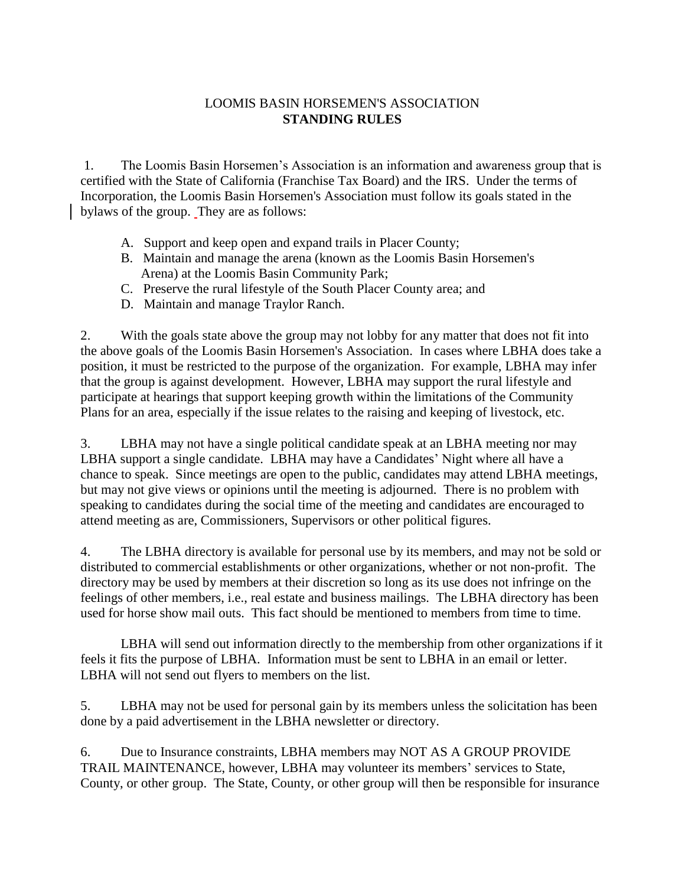## LOOMIS BASIN HORSEMEN'S ASSOCIATION **STANDING RULES**

1. The Loomis Basin Horsemen's Association is an information and awareness group that is certified with the State of California (Franchise Tax Board) and the IRS. Under the terms of Incorporation, the Loomis Basin Horsemen's Association must follow its goals stated in the bylaws of the group. They are as follows:

- A. Support and keep open and expand trails in Placer County;
- B. Maintain and manage the arena (known as the Loomis Basin Horsemen's Arena) at the Loomis Basin Community Park;
- C. Preserve the rural lifestyle of the South Placer County area; and
- D. Maintain and manage Traylor Ranch.

2. With the goals state above the group may not lobby for any matter that does not fit into the above goals of the Loomis Basin Horsemen's Association. In cases where LBHA does take a position, it must be restricted to the purpose of the organization. For example, LBHA may infer that the group is against development. However, LBHA may support the rural lifestyle and participate at hearings that support keeping growth within the limitations of the Community Plans for an area, especially if the issue relates to the raising and keeping of livestock, etc.

3. LBHA may not have a single political candidate speak at an LBHA meeting nor may LBHA support a single candidate. LBHA may have a Candidates' Night where all have a chance to speak. Since meetings are open to the public, candidates may attend LBHA meetings, but may not give views or opinions until the meeting is adjourned. There is no problem with speaking to candidates during the social time of the meeting and candidates are encouraged to attend meeting as are, Commissioners, Supervisors or other political figures.

4. The LBHA directory is available for personal use by its members, and may not be sold or distributed to commercial establishments or other organizations, whether or not non-profit. The directory may be used by members at their discretion so long as its use does not infringe on the feelings of other members, i.e., real estate and business mailings. The LBHA directory has been used for horse show mail outs. This fact should be mentioned to members from time to time.

LBHA will send out information directly to the membership from other organizations if it feels it fits the purpose of LBHA. Information must be sent to LBHA in an email or letter. LBHA will not send out flyers to members on the list.

5. LBHA may not be used for personal gain by its members unless the solicitation has been done by a paid advertisement in the LBHA newsletter or directory.

6. Due to Insurance constraints, LBHA members may NOT AS A GROUP PROVIDE TRAIL MAINTENANCE, however, LBHA may volunteer its members' services to State, County, or other group. The State, County, or other group will then be responsible for insurance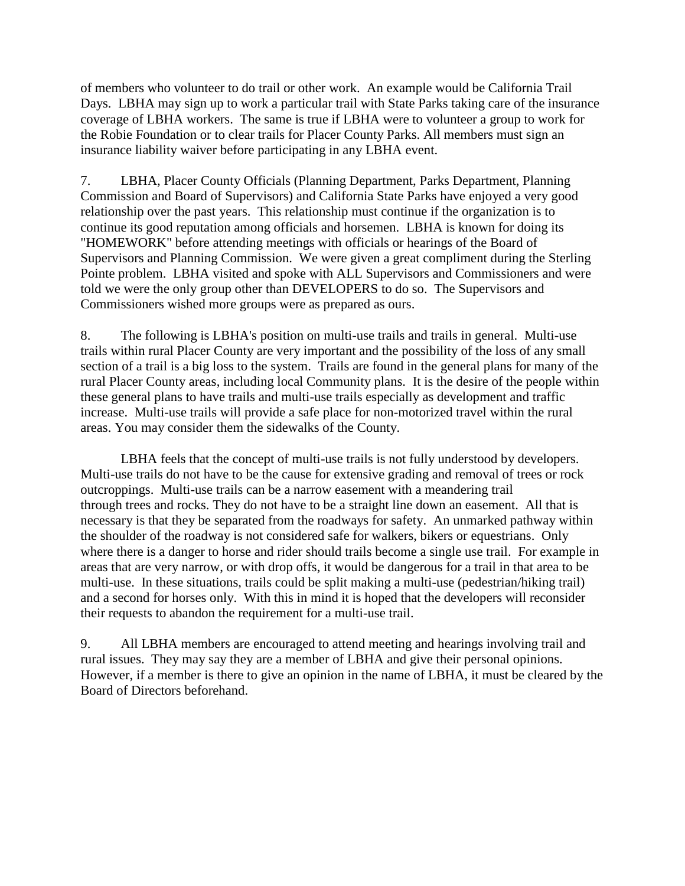of members who volunteer to do trail or other work. An example would be California Trail Days. LBHA may sign up to work a particular trail with State Parks taking care of the insurance coverage of LBHA workers. The same is true if LBHA were to volunteer a group to work for the Robie Foundation or to clear trails for Placer County Parks. All members must sign an insurance liability waiver before participating in any LBHA event.

7. LBHA, Placer County Officials (Planning Department, Parks Department, Planning Commission and Board of Supervisors) and California State Parks have enjoyed a very good relationship over the past years. This relationship must continue if the organization is to continue its good reputation among officials and horsemen. LBHA is known for doing its "HOMEWORK" before attending meetings with officials or hearings of the Board of Supervisors and Planning Commission. We were given a great compliment during the Sterling Pointe problem. LBHA visited and spoke with ALL Supervisors and Commissioners and were told we were the only group other than DEVELOPERS to do so. The Supervisors and Commissioners wished more groups were as prepared as ours.

8. The following is LBHA's position on multi-use trails and trails in general. Multi-use trails within rural Placer County are very important and the possibility of the loss of any small section of a trail is a big loss to the system. Trails are found in the general plans for many of the rural Placer County areas, including local Community plans. It is the desire of the people within these general plans to have trails and multi-use trails especially as development and traffic increase. Multi-use trails will provide a safe place for non-motorized travel within the rural areas. You may consider them the sidewalks of the County.

LBHA feels that the concept of multi-use trails is not fully understood by developers. Multi-use trails do not have to be the cause for extensive grading and removal of trees or rock outcroppings. Multi-use trails can be a narrow easement with a meandering trail through trees and rocks. They do not have to be a straight line down an easement. All that is necessary is that they be separated from the roadways for safety. An unmarked pathway within the shoulder of the roadway is not considered safe for walkers, bikers or equestrians. Only where there is a danger to horse and rider should trails become a single use trail. For example in areas that are very narrow, or with drop offs, it would be dangerous for a trail in that area to be multi-use. In these situations, trails could be split making a multi-use (pedestrian/hiking trail) and a second for horses only. With this in mind it is hoped that the developers will reconsider their requests to abandon the requirement for a multi-use trail.

9. All LBHA members are encouraged to attend meeting and hearings involving trail and rural issues. They may say they are a member of LBHA and give their personal opinions. However, if a member is there to give an opinion in the name of LBHA, it must be cleared by the Board of Directors beforehand.